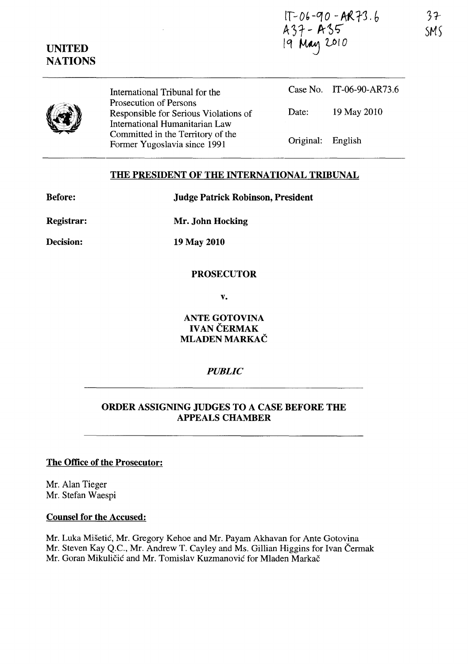*11-* Db *-q* 0 - AA *-r3* . *b*   $A37 - A35$ 19 May 2010

|  | International Tribunal for the                                                                    |                   | Case No. IT-06-90-AR73.6 |
|--|---------------------------------------------------------------------------------------------------|-------------------|--------------------------|
|  | Prosecution of Persons<br>Responsible for Serious Violations of<br>International Humanitarian Law | Date:             | 19 May 2010              |
|  | Committed in the Territory of the<br>Former Yugoslavia since 1991                                 | Original: English |                          |

# THE PRESIDENT OF THE INTERNATIONAL TRIBUNAL

Judge Patrick Robinson, President

| <b>Before:</b> |  |  |
|----------------|--|--|
| Registrar:     |  |  |

Decision:

UNITED **NATIONS** 

Mr. John Hocking

19 May 2010

## PROSECUTOR

v.

ANTE GOTOVINA IVAN ČERMAK MLADEN MARKAČ

## *PUBLIC*

# ORDER ASSIGNING JUDGES TO A CASE BEFORE THE APPEALS CHAMBER

## The Office of the Prosecutor:

Mr. Alan Tieger Mr. Stefan Waespi

#### Counsel for the Accused:

Mr. Luka Mišetić, Mr. Gregory Kehoe and Mr. Payam Akhavan for Ante Gotovina Mr. Steven Kay Q.C., Mr. Andrew T. Cayley and Ms. Gillian Higgins for Ivan Cermak Mr. Goran Mikuličić and Mr. Tomislav Kuzmanović for Mladen Markač

3?- SM5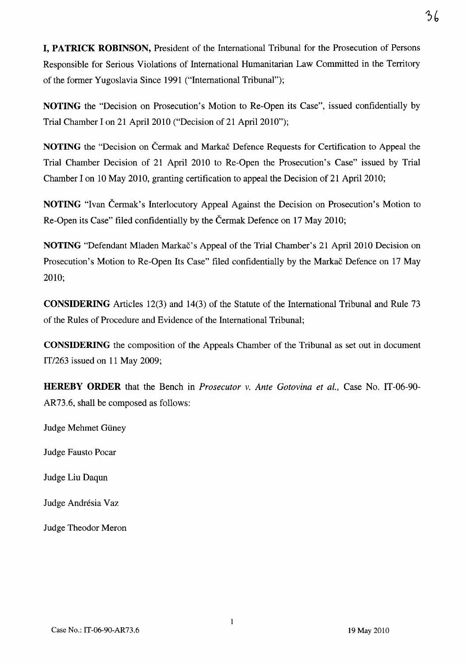**I, PATRICK ROBINSON,** President of the International Tribunal for the Prosecution of Persons Responsible for Serious Violations of International Humanitarian Law Committed in the Territory of the former Yugoslavia Since 1991 ("International Tribunal");

**NOTING** the "Decision on Prosecution's Motion to Re-Open its Case", issued confidentially by Trial Chamber I on 21 April 2010 ("Decision of 21 April 2010");

**NOTING** the "Decision on Čermak and Markač Defence Requests for Certification to Appeal the Trial Chamber Decision of 21 April 2010 to Re-Open the Prosecution's Case" issued by Trial Chamber I on 10 May 2010, granting certification to appeal the Decision of 21 April 2010;

**NOTING** "Ivan Cermak's Interlocutory Appeal Against the Decision on Prosecution's Motion to Re-Open its Case" filed confidentially by the Cermak Defence on 17 May 2010;

**NOTING** "Defendant Mladen Markac's Appeal of the Trial Chamber's 21 April 2010 Decision on Prosecution's Motion to Re-Open Its Case" filed confidentially by the Markač Defence on 17 May 2010;

**CONSIDERING** Articles 12(3) and 14(3) of the Statute of the International Tribunal and Rule 73 of the Rules of Procedure and Evidence of the International Tribunal;

**CONSIDERING** the composition of the Appeals Chamber of the Tribunal as set out in document IT/263 issued on 11 May 2009;

**HEREBY ORDER** that the Bench in *Prosecutor* v. *Ante Gotovina et aI.,* Case No. IT-06-90- AR73.6, shall be composed as follows:

Judge Mehmet Giiney

Judge Fausto Pocar

Judge Liu Daqun

Judge Andrésia Vaz

Judge Theodor Meron